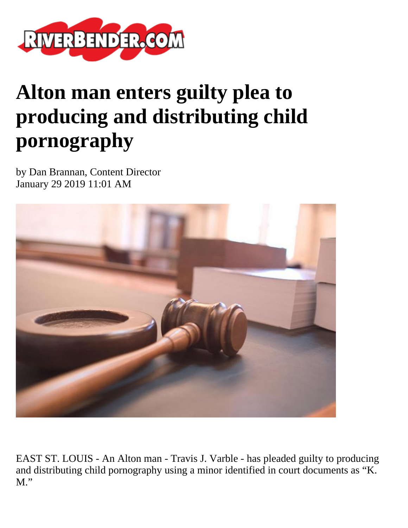

## **Alton man enters guilty plea to producing and distributing child pornography**

by Dan Brannan, Content Director January 29 2019 11:01 AM



EAST ST. LOUIS - An Alton man - Travis J. Varble - has pleaded guilty to producing and distributing child pornography using a minor identified in court documents as "K.  $M$ ."